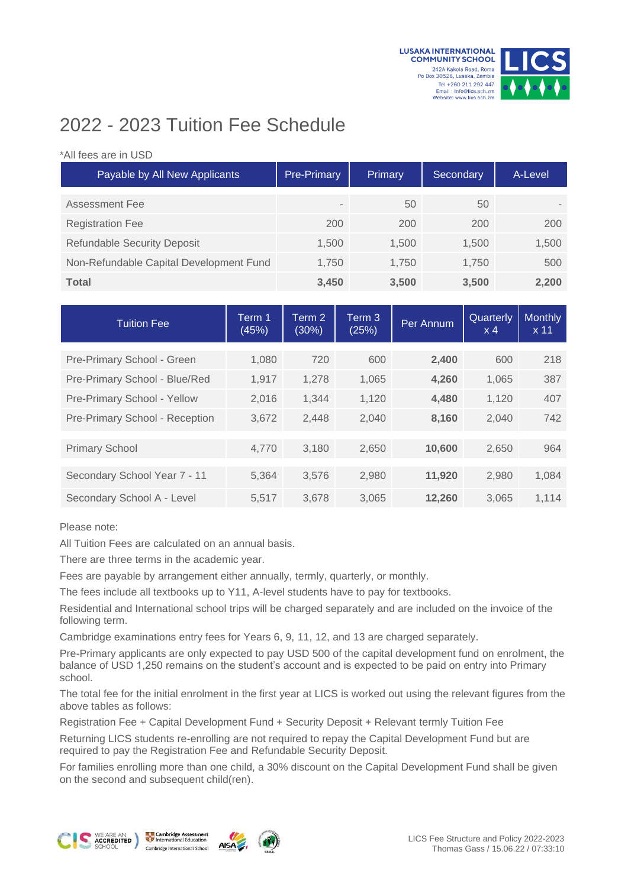



## 2022 - 2023 Tuition Fee Schedule

## \*All fees are in USD

| Payable by All New Applicants           | Pre-Primary              | Primary | Secondary | A-Level |
|-----------------------------------------|--------------------------|---------|-----------|---------|
| Assessment Fee                          | $\overline{\phantom{a}}$ | 50      | 50        |         |
| <b>Registration Fee</b>                 | 200                      | 200     | 200       | 200     |
| <b>Refundable Security Deposit</b>      | 1,500                    | 1.500   | 1.500     | 1,500   |
| Non-Refundable Capital Development Fund | 1.750                    | 1.750   | 1.750     | 500     |
| <b>Total</b>                            | 3,450                    | 3,500   | 3,500     | 2,200   |

| <b>Tuition Fee</b>             | Term 1<br>(45%) | Term 2<br>(30%) | Term 3<br>(25%) | Per Annum | Quarterly<br>$\times$ 4 | <b>Monthly</b><br>x <sub>11</sub> |
|--------------------------------|-----------------|-----------------|-----------------|-----------|-------------------------|-----------------------------------|
| Pre-Primary School - Green     | 1,080           | 720             | 600             | 2,400     | 600                     | 218                               |
|                                |                 |                 |                 |           |                         |                                   |
| Pre-Primary School - Blue/Red  | 1,917           | 1,278           | 1,065           | 4,260     | 1,065                   | 387                               |
| Pre-Primary School - Yellow    | 2,016           | 1.344           | 1,120           | 4,480     | 1,120                   | 407                               |
| Pre-Primary School - Reception | 3,672           | 2,448           | 2,040           | 8,160     | 2,040                   | 742                               |
|                                |                 |                 |                 |           |                         |                                   |
| <b>Primary School</b>          | 4,770           | 3,180           | 2,650           | 10,600    | 2,650                   | 964                               |
| Secondary School Year 7 - 11   | 5,364           | 3,576           | 2,980           | 11,920    | 2,980                   | 1,084                             |
| Secondary School A - Level     | 5.517           | 3.678           | 3.065           | 12,260    | 3.065                   | 1.114                             |

Please note:

All Tuition Fees are calculated on an annual basis.

There are three terms in the academic year.

Fees are payable by arrangement either annually, termly, quarterly, or monthly.

The fees include all textbooks up to Y11, A-level students have to pay for textbooks.

Residential and International school trips will be charged separately and are included on the invoice of the following term.

Cambridge examinations entry fees for Years 6, 9, 11, 12, and 13 are charged separately.

Pre-Primary applicants are only expected to pay USD 500 of the capital development fund on enrolment, the balance of USD 1,250 remains on the student's account and is expected to be paid on entry into Primary school.

The total fee for the initial enrolment in the first year at LICS is worked out using the relevant figures from the above tables as follows:

Registration Fee + Capital Development Fund + Security Deposit + Relevant termly Tuition Fee

Returning LICS students re-enrolling are not required to repay the Capital Development Fund but are required to pay the Registration Fee and Refundable Security Deposit.

For families enrolling more than one child, a 30% discount on the Capital Development Fund shall be given on the second and subsequent child(ren).







**AISA**